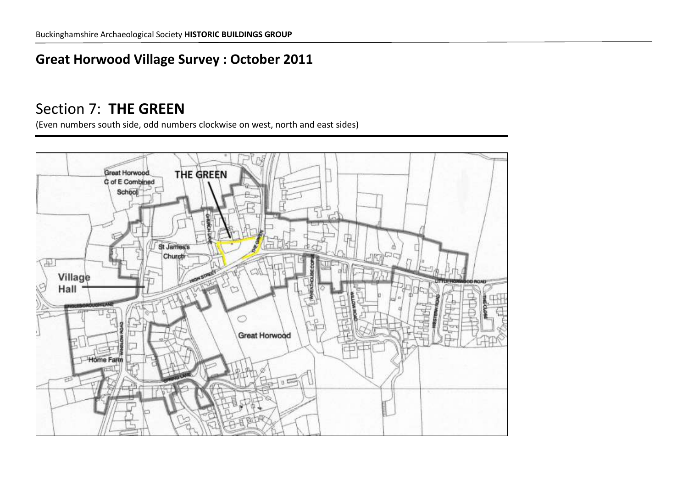#### **Great Horwood Village Survey : October 2011**

### Section 7: **THE GREEN**

(Even numbers south side, odd numbers clockwise on west, north and east sides)

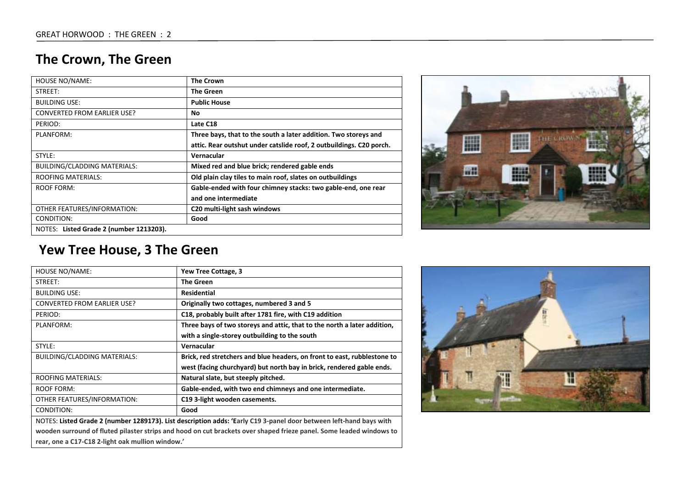# **The Crown, The Green**

| <b>HOUSE NO/NAME:</b>                   | <b>The Crown</b>                                                    |
|-----------------------------------------|---------------------------------------------------------------------|
| STREET:                                 | <b>The Green</b>                                                    |
| <b>BUILDING USE:</b>                    | <b>Public House</b>                                                 |
| <b>CONVERTED FROM EARLIER USE?</b>      | No                                                                  |
| PERIOD:                                 | Late C18                                                            |
| PLANFORM:                               | Three bays, that to the south a later addition. Two storeys and     |
|                                         | attic. Rear outshut under catslide roof, 2 outbuildings. C20 porch. |
| STYLE:                                  | Vernacular                                                          |
| <b>BUILDING/CLADDING MATERIALS:</b>     | Mixed red and blue brick; rendered gable ends                       |
| <b>ROOFING MATERIALS:</b>               | Old plain clay tiles to main roof, slates on outbuildings           |
| ROOF FORM:                              | Gable-ended with four chimney stacks: two gable-end, one rear       |
|                                         | and one intermediate                                                |
| OTHER FEATURES/INFORMATION:             | C20 multi-light sash windows                                        |
| CONDITION:                              | Good                                                                |
| NOTES: Listed Grade 2 (number 1213203). |                                                                     |



### **Yew Tree House, 3 The Green**

| <b>HOUSE NO/NAME:</b>                                                                                               | Yew Tree Cottage, 3                                                      |
|---------------------------------------------------------------------------------------------------------------------|--------------------------------------------------------------------------|
| STREET:                                                                                                             | <b>The Green</b>                                                         |
| <b>BUILDING USE:</b>                                                                                                | <b>Residential</b>                                                       |
| <b>CONVERTED FROM EARLIER USE?</b>                                                                                  | Originally two cottages, numbered 3 and 5                                |
| PERIOD:                                                                                                             | C18, probably built after 1781 fire, with C19 addition                   |
| PLANFORM:                                                                                                           | Three bays of two storeys and attic, that to the north a later addition, |
|                                                                                                                     | with a single-storey outbuilding to the south                            |
| STYLE:                                                                                                              | Vernacular                                                               |
| BUILDING/CLADDING MATERIALS:                                                                                        | Brick, red stretchers and blue headers, on front to east, rubblestone to |
|                                                                                                                     | west (facing churchyard) but north bay in brick, rendered gable ends.    |
| <b>ROOFING MATERIALS:</b>                                                                                           | Natural slate, but steeply pitched.                                      |
| <b>ROOF FORM:</b>                                                                                                   | Gable-ended, with two end chimneys and one intermediate.                 |
| OTHER FEATURES/INFORMATION:                                                                                         | C19 3-light wooden casements.                                            |
| CONDITION:                                                                                                          | Good                                                                     |
| NOTES: Listed Grade 2 (number 1289173). List description adds: 'Early C19 3-panel door between left-hand bays with  |                                                                          |
| wooden surround of fluted pilaster strips and hood on cut brackets over shaped frieze panel. Some leaded windows to |                                                                          |
| rear, one a C17-C18 2-light oak mullion window.'                                                                    |                                                                          |

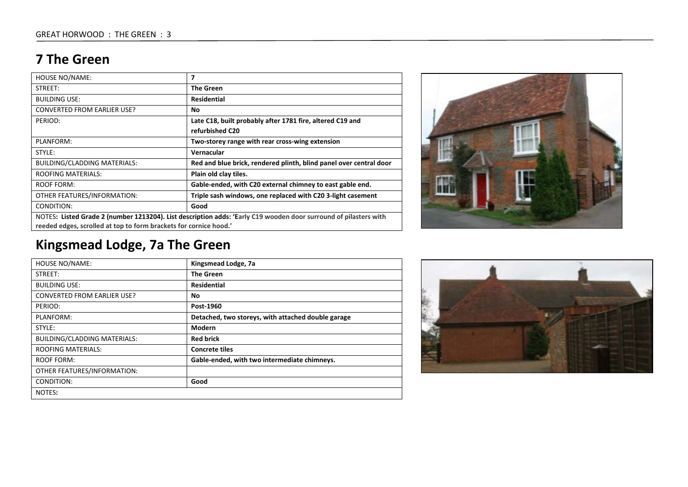#### **7 The Green**

| <b>HOUSE NO/NAME:</b>                                                                                                                                                                 | 7                                                                  |
|---------------------------------------------------------------------------------------------------------------------------------------------------------------------------------------|--------------------------------------------------------------------|
| STREET:                                                                                                                                                                               | <b>The Green</b>                                                   |
| <b>BUILDING USE:</b>                                                                                                                                                                  | <b>Residential</b>                                                 |
| <b>CONVERTED FROM EARLIER USE?</b>                                                                                                                                                    | No.                                                                |
| PERIOD:                                                                                                                                                                               | Late C18, built probably after 1781 fire, altered C19 and          |
|                                                                                                                                                                                       | refurbished C20                                                    |
| PLANFORM:                                                                                                                                                                             | Two-storey range with rear cross-wing extension                    |
| STYLE:                                                                                                                                                                                | Vernacular                                                         |
| BUILDING/CLADDING MATERIALS:                                                                                                                                                          | Red and blue brick, rendered plinth, blind panel over central door |
| <b>ROOFING MATERIALS:</b>                                                                                                                                                             | Plain old clay tiles.                                              |
| ROOF FORM:                                                                                                                                                                            | Gable-ended, with C20 external chimney to east gable end.          |
| OTHER FEATURES/INFORMATION:                                                                                                                                                           | Triple sash windows, one replaced with C20 3-light casement        |
| Good<br>CONDITION:                                                                                                                                                                    |                                                                    |
| NOTES: Listed Grade 2 (number 1213204). List description adds: 'Early C19 wooden door surround of pilasters with<br>reeded edges, scrolled at top to form brackets for cornice hood.' |                                                                    |

# **Kingsmead Lodge, 7a The Green**

| <b>HOUSE NO/NAME:</b><br>Kingsmead Lodge, 7a<br><b>The Green</b><br>STREET:<br><b>Residential</b><br><b>BUILDING USE:</b><br><b>CONVERTED FROM EARLIER USE?</b><br>No<br>PERIOD:<br>Post-1960<br>Detached, two storeys, with attached double garage<br>PLANFORM:<br>Modern<br>STYLE:<br><b>BUILDING/CLADDING MATERIALS:</b><br><b>Red brick</b><br><b>ROOFING MATERIALS:</b><br><b>Concrete tiles</b><br>Gable-ended, with two intermediate chimneys.<br>ROOF FORM:<br>OTHER FEATURES/INFORMATION: |            |      |
|----------------------------------------------------------------------------------------------------------------------------------------------------------------------------------------------------------------------------------------------------------------------------------------------------------------------------------------------------------------------------------------------------------------------------------------------------------------------------------------------------|------------|------|
|                                                                                                                                                                                                                                                                                                                                                                                                                                                                                                    |            |      |
|                                                                                                                                                                                                                                                                                                                                                                                                                                                                                                    |            |      |
|                                                                                                                                                                                                                                                                                                                                                                                                                                                                                                    |            |      |
|                                                                                                                                                                                                                                                                                                                                                                                                                                                                                                    |            |      |
|                                                                                                                                                                                                                                                                                                                                                                                                                                                                                                    |            |      |
|                                                                                                                                                                                                                                                                                                                                                                                                                                                                                                    |            |      |
|                                                                                                                                                                                                                                                                                                                                                                                                                                                                                                    |            |      |
|                                                                                                                                                                                                                                                                                                                                                                                                                                                                                                    |            |      |
|                                                                                                                                                                                                                                                                                                                                                                                                                                                                                                    |            |      |
|                                                                                                                                                                                                                                                                                                                                                                                                                                                                                                    |            |      |
|                                                                                                                                                                                                                                                                                                                                                                                                                                                                                                    |            |      |
|                                                                                                                                                                                                                                                                                                                                                                                                                                                                                                    | CONDITION: | Good |
| NOTES:                                                                                                                                                                                                                                                                                                                                                                                                                                                                                             |            |      |



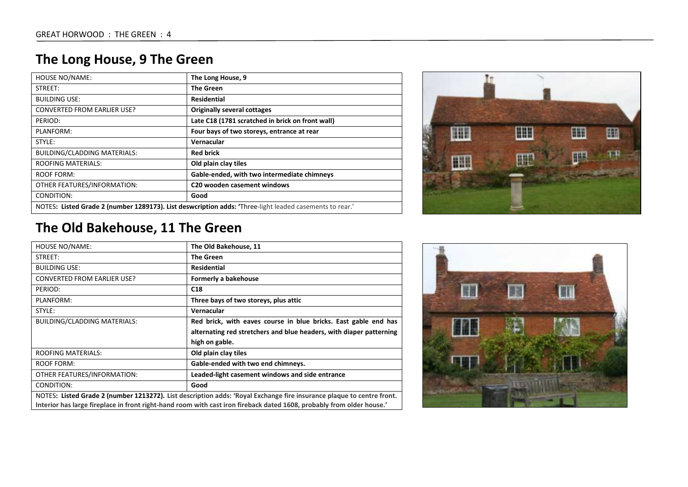### **The Long House, 9 The Green**

| <b>HOUSE NO/NAME:</b>                                                                                   | The Long House, 9                                |
|---------------------------------------------------------------------------------------------------------|--------------------------------------------------|
| STREET:                                                                                                 | <b>The Green</b>                                 |
| <b>BUILDING USE:</b>                                                                                    | <b>Residential</b>                               |
| <b>CONVERTED FROM EARLIER USE?</b>                                                                      | <b>Originally several cottages</b>               |
| PERIOD:                                                                                                 | Late C18 (1781 scratched in brick on front wall) |
| PLANFORM:                                                                                               | Four bays of two storeys, entrance at rear       |
| STYLE:                                                                                                  | Vernacular                                       |
| <b>BUILDING/CLADDING MATERIALS:</b>                                                                     | <b>Red brick</b>                                 |
| <b>ROOFING MATERIALS:</b>                                                                               | Old plain clay tiles                             |
| <b>ROOF FORM:</b>                                                                                       | Gable-ended, with two intermediate chimneys      |
| OTHER FEATURES/INFORMATION:                                                                             | C20 wooden casement windows                      |
| CONDITION:                                                                                              | Good                                             |
| NOTES: Listed Grade 2 (number 1289173). List deswcription adds: 'Three-light leaded casements to rear.' |                                                  |



# **The Old Bakehouse, 11 The Green**

| HOUSE NO/NAME:                                                                                                        | The Old Bakehouse, 11                                               |
|-----------------------------------------------------------------------------------------------------------------------|---------------------------------------------------------------------|
| STREET:                                                                                                               | <b>The Green</b>                                                    |
| <b>BUILDING USE:</b>                                                                                                  | <b>Residential</b>                                                  |
| <b>CONVERTED FROM EARLIER USE?</b>                                                                                    | Formerly a bakehouse                                                |
| PERIOD:                                                                                                               | C18                                                                 |
| PLANFORM:                                                                                                             | Three bays of two storeys, plus attic                               |
| STYLE:                                                                                                                | Vernacular                                                          |
| <b>BUILDING/CLADDING MATERIALS:</b>                                                                                   | Red brick, with eaves course in blue bricks. East gable end has     |
|                                                                                                                       | alternating red stretchers and blue headers, with diaper patterning |
|                                                                                                                       | high on gable.                                                      |
| <b>ROOFING MATERIALS:</b>                                                                                             | Old plain clay tiles                                                |
| ROOF FORM:                                                                                                            | Gable-ended with two end chimneys.                                  |
| OTHER FEATURES/INFORMATION:                                                                                           | Leaded-light casement windows and side entrance                     |
| CONDITION:                                                                                                            | Good                                                                |
| NOTES: Listed Grade 2 (number 1213272). List description adds: 'Royal Exchange fire insurance plaque to centre front. |                                                                     |
| Interior has large fireplace in front right-hand room with cast iron fireback dated 1608, probably from older house.' |                                                                     |

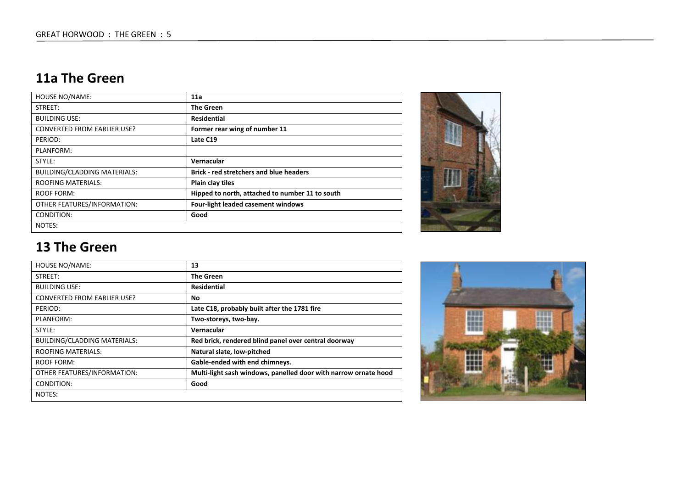### **11a The Green**

| <b>HOUSE NO/NAME:</b>               | 11a                                             |  |
|-------------------------------------|-------------------------------------------------|--|
| STREET:                             | <b>The Green</b>                                |  |
| <b>BUILDING USE:</b>                | <b>Residential</b>                              |  |
| <b>CONVERTED FROM EARLIER USE?</b>  | Former rear wing of number 11                   |  |
| PERIOD:                             | Late C19                                        |  |
| PLANFORM:                           |                                                 |  |
| STYLE:                              | Vernacular                                      |  |
| <b>BUILDING/CLADDING MATERIALS:</b> | <b>Brick - red stretchers and blue headers</b>  |  |
| <b>ROOFING MATERIALS:</b>           | Plain clay tiles                                |  |
| ROOF FORM:                          | Hipped to north, attached to number 11 to south |  |
| OTHER FEATURES/INFORMATION:         | Four-light leaded casement windows              |  |
| CONDITION:                          | Good                                            |  |
| NOTES:                              |                                                 |  |



#### **13 The Green**

| <b>HOUSE NO/NAME:</b>               | 13                                                              |
|-------------------------------------|-----------------------------------------------------------------|
| STREET:                             | <b>The Green</b>                                                |
| <b>BUILDING USE:</b>                | <b>Residential</b>                                              |
| <b>CONVERTED FROM EARLIER USE?</b>  | No                                                              |
| PERIOD:                             | Late C18, probably built after the 1781 fire                    |
| PLANFORM:                           | Two-storeys, two-bay.                                           |
| STYLE:                              | Vernacular                                                      |
| <b>BUILDING/CLADDING MATERIALS:</b> | Red brick, rendered blind panel over central doorway            |
| <b>ROOFING MATERIALS:</b>           | Natural slate, low-pitched                                      |
| ROOF FORM:                          | Gable-ended with end chimneys.                                  |
| OTHER FEATURES/INFORMATION:         | Multi-light sash windows, panelled door with narrow ornate hood |
| CONDITION:                          | Good                                                            |
| NOTES:                              |                                                                 |

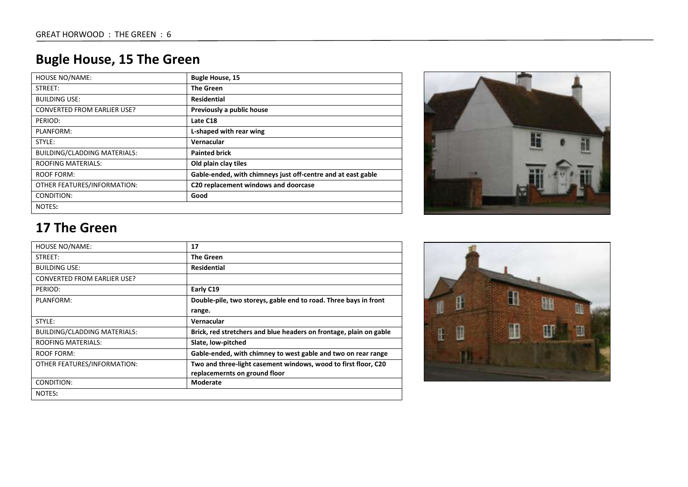# **Bugle House, 15 The Green**

| <b>HOUSE NO/NAME:</b>               | <b>Bugle House, 15</b>                                       |
|-------------------------------------|--------------------------------------------------------------|
| STREET:                             | The Green                                                    |
| <b>BUILDING USE:</b>                | <b>Residential</b>                                           |
| <b>CONVERTED FROM EARLIER USE?</b>  | Previously a public house                                    |
| PERIOD:                             | Late C18                                                     |
| PLANFORM:                           | L-shaped with rear wing                                      |
| STYLE:                              | Vernacular                                                   |
| <b>BUILDING/CLADDING MATERIALS:</b> | <b>Painted brick</b>                                         |
| <b>ROOFING MATERIALS:</b>           | Old plain clay tiles                                         |
| ROOF FORM:                          | Gable-ended, with chimneys just off-centre and at east gable |
| OTHER FEATURES/INFORMATION:         | C20 replacement windows and doorcase                         |
| CONDITION:                          | Good                                                         |
| NOTES:                              |                                                              |



### **17 The Green**

| HOUSE NO/NAME:                     | 17                                                                                              |
|------------------------------------|-------------------------------------------------------------------------------------------------|
| STREET:                            | <b>The Green</b>                                                                                |
| <b>BUILDING USE:</b>               | <b>Residential</b>                                                                              |
| <b>CONVERTED FROM EARLIER USE?</b> |                                                                                                 |
| PERIOD:                            | Early C19                                                                                       |
| PLANFORM:                          | Double-pile, two storeys, gable end to road. Three bays in front                                |
|                                    | range.                                                                                          |
| STYLE:                             | Vernacular                                                                                      |
| BUILDING/CLADDING MATERIALS:       | Brick, red stretchers and blue headers on frontage, plain on gable                              |
| <b>ROOFING MATERIALS:</b>          | Slate, low-pitched                                                                              |
| ROOF FORM:                         | Gable-ended, with chimney to west gable and two on rear range                                   |
| OTHER FEATURES/INFORMATION:        | Two and three-light casement windows, wood to first floor, C20<br>replacemernts on ground floor |
| CONDITION:                         | Moderate                                                                                        |
| NOTES:                             |                                                                                                 |

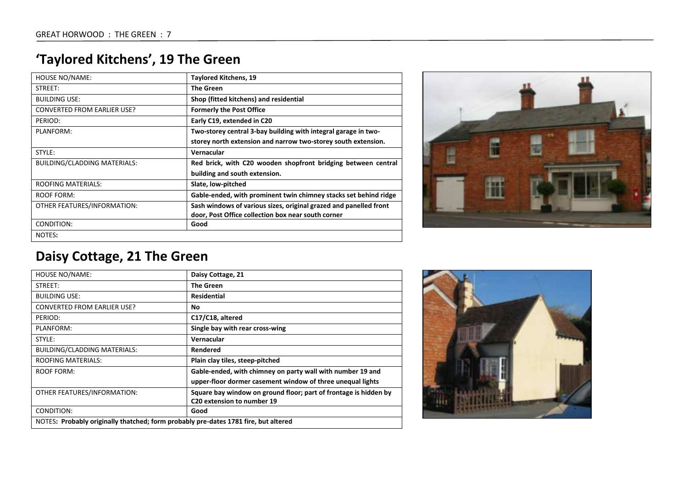# **'Taylored Kitchens', 19 The Green**

| <b>HOUSE NO/NAME:</b>              | <b>Taylored Kitchens, 19</b>                                      |
|------------------------------------|-------------------------------------------------------------------|
| STREET:                            | <b>The Green</b>                                                  |
| <b>BUILDING USE:</b>               | Shop (fitted kitchens) and residential                            |
| <b>CONVERTED FROM EARLIER USE?</b> | <b>Formerly the Post Office</b>                                   |
| PERIOD:                            | Early C19, extended in C20                                        |
| PLANFORM:                          | Two-storey central 3-bay building with integral garage in two-    |
|                                    | storey north extension and narrow two-storey south extension.     |
| STYLE:                             | Vernacular                                                        |
| BUILDING/CLADDING MATERIALS:       | Red brick, with C20 wooden shopfront bridging between central     |
|                                    | building and south extension.                                     |
| <b>ROOFING MATERIALS:</b>          | Slate, low-pitched                                                |
| <b>ROOF FORM:</b>                  | Gable-ended, with prominent twin chimney stacks set behind ridge  |
| OTHER FEATURES/INFORMATION:        | Sash windows of various sizes, original grazed and panelled front |
|                                    | door, Post Office collection box near south corner                |
| CONDITION:                         | Good                                                              |
| NOTES:                             |                                                                   |



# **Daisy Cottage, 21 The Green**

| HOUSE NO/NAME:                                                                      | Daisy Cottage, 21                                                |
|-------------------------------------------------------------------------------------|------------------------------------------------------------------|
| STREET:                                                                             | <b>The Green</b>                                                 |
| <b>BUILDING USE:</b>                                                                | <b>Residential</b>                                               |
| <b>CONVERTED FROM EARLIER USE?</b>                                                  | No                                                               |
| PERIOD:                                                                             | C17/C18, altered                                                 |
| PLANFORM:                                                                           | Single bay with rear cross-wing                                  |
| STYLE:                                                                              | Vernacular                                                       |
| <b>BUILDING/CLADDING MATERIALS:</b>                                                 | Rendered                                                         |
| <b>ROOFING MATERIALS:</b>                                                           | Plain clay tiles, steep-pitched                                  |
| ROOF FORM:                                                                          | Gable-ended, with chimney on party wall with number 19 and       |
|                                                                                     | upper-floor dormer casement window of three unequal lights       |
| OTHER FEATURES/INFORMATION:                                                         | Square bay window on ground floor; part of frontage is hidden by |
|                                                                                     | C20 extension to number 19                                       |
| CONDITION:                                                                          | Good                                                             |
| NOTES: Probably originally thatched; form probably pre-dates 1781 fire, but altered |                                                                  |

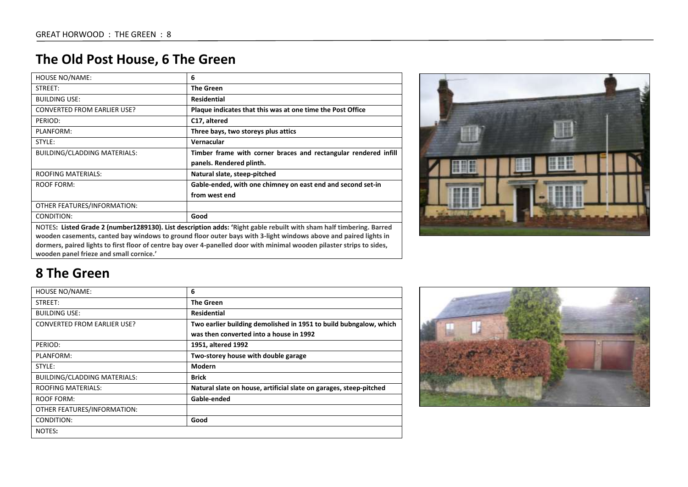# **The Old Post House, 6 The Green**

| <b>HOUSE NO/NAME:</b>                                                                                                                                             | 6                                                               |
|-------------------------------------------------------------------------------------------------------------------------------------------------------------------|-----------------------------------------------------------------|
| STREET:                                                                                                                                                           | <b>The Green</b>                                                |
| <b>BUILDING USE:</b>                                                                                                                                              | <b>Residential</b>                                              |
| <b>CONVERTED FROM EARLIER USE?</b>                                                                                                                                | Plaque indicates that this was at one time the Post Office      |
| PERIOD:                                                                                                                                                           | C17, altered                                                    |
| PLANFORM:                                                                                                                                                         | Three bays, two storeys plus attics                             |
| STYLE:                                                                                                                                                            | Vernacular                                                      |
| <b>BUILDING/CLADDING MATERIALS:</b>                                                                                                                               | Timber frame with corner braces and rectangular rendered infill |
|                                                                                                                                                                   | panels. Rendered plinth.                                        |
| <b>ROOFING MATERIALS:</b>                                                                                                                                         | Natural slate, steep-pitched                                    |
| <b>ROOF FORM:</b>                                                                                                                                                 | Gable-ended, with one chimney on east end and second set-in     |
|                                                                                                                                                                   | from west end                                                   |
| OTHER FEATURES/INFORMATION:                                                                                                                                       |                                                                 |
| CONDITION:                                                                                                                                                        | Good                                                            |
| NOTES: Listed Grade 2 (number1289130). List description adds: 'Right gable rebuilt with sham half timbering. Barred                                               |                                                                 |
| wooden casements, canted bay windows to ground floor outer bays with 3-light windows above and paired lights in                                                   |                                                                 |
| dormers, paired lights to first floor of centre bay over 4-panelled door with minimal wooden pilaster strips to sides,<br>wooden panel frieze and small cornice.' |                                                                 |



#### **8 The Green**

| <b>HOUSE NO/NAME:</b>               | 6                                                                  |
|-------------------------------------|--------------------------------------------------------------------|
| STREET:                             | <b>The Green</b>                                                   |
| <b>BUILDING USE:</b>                | <b>Residential</b>                                                 |
| <b>CONVERTED FROM EARLIER USE?</b>  | Two earlier building demolished in 1951 to build bubngalow, which  |
|                                     | was then converted into a house in 1992                            |
| PERIOD:                             | 1951, altered 1992                                                 |
| PLANFORM:                           | Two-storey house with double garage                                |
| STYLE:                              | Modern                                                             |
| <b>BUILDING/CLADDING MATERIALS:</b> | <b>Brick</b>                                                       |
| <b>ROOFING MATERIALS:</b>           | Natural slate on house, artificial slate on garages, steep-pitched |
| ROOF FORM:                          | Gable-ended                                                        |
| OTHER FEATURES/INFORMATION:         |                                                                    |
| CONDITION:                          | Good                                                               |
| NOTES:                              |                                                                    |